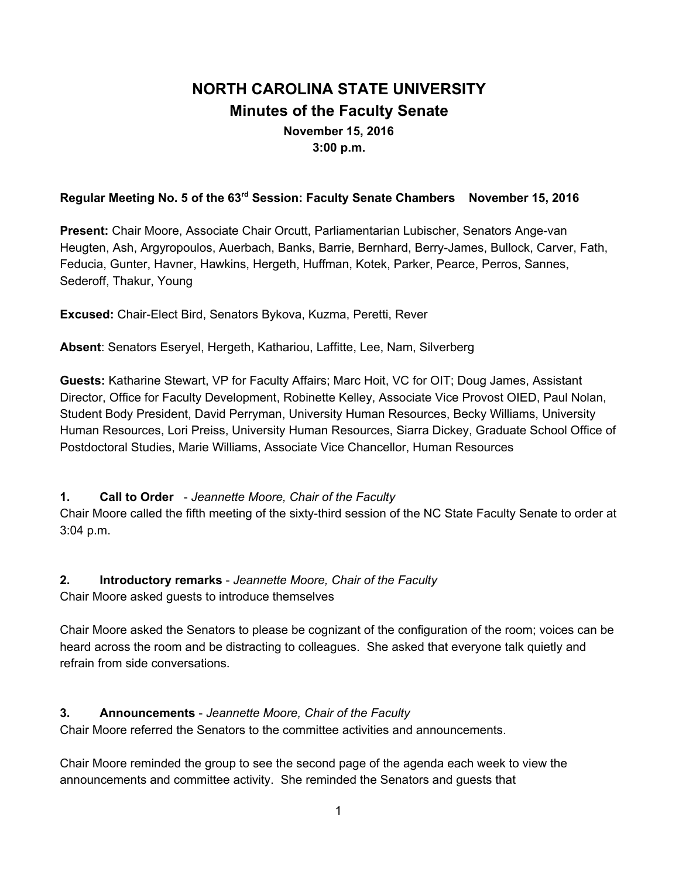# **NORTH CAROLINA STATE UNIVERSITY Minutes of the Faculty Senate November 15, 2016 3:00 p.m.**

# **Regular Meeting No. 5 of the 63 rd Session: Faculty Senate Chambers November 15, 2016**

**Present:** Chair Moore, Associate Chair Orcutt, Parliamentarian Lubischer, Senators Ange-van Heugten, Ash, Argyropoulos, Auerbach, Banks, Barrie, Bernhard, Berry-James, Bullock, Carver, Fath, Feducia, Gunter, Havner, Hawkins, Hergeth, Huffman, Kotek, Parker, Pearce, Perros, Sannes, Sederoff, Thakur, Young

**Excused:** Chair-Elect Bird, Senators Bykova, Kuzma, Peretti, Rever

**Absent**: Senators Eseryel, Hergeth, Kathariou, Laffitte, Lee, Nam, Silverberg

**Guests:** Katharine Stewart, VP for Faculty Affairs; Marc Hoit, VC for OIT; Doug James, Assistant Director, Office for Faculty Development, Robinette Kelley, Associate Vice Provost OIED, Paul Nolan, Student Body President, David Perryman, University Human Resources, Becky Williams, University Human Resources, Lori Preiss, University Human Resources, Siarra Dickey, Graduate School Office of Postdoctoral Studies, Marie Williams, Associate Vice Chancellor, Human Resources

#### **1. Call to Order** - *Jeannette Moore, Chair of the Faculty*

Chair Moore called the fifth meeting of the sixty-third session of the NC State Faculty Senate to order at 3:04 p.m.

**2. Introductory remarks** - *Jeannette Moore, Chair of the Faculty*

Chair Moore asked guests to introduce themselves

Chair Moore asked the Senators to please be cognizant of the configuration of the room; voices can be heard across the room and be distracting to colleagues. She asked that everyone talk quietly and refrain from side conversations.

#### **3. Announcements** - *Jeannette Moore, Chair of the Faculty*

Chair Moore referred the Senators to the committee activities and announcements.

Chair Moore reminded the group to see the second page of the agenda each week to view the announcements and committee activity. She reminded the Senators and guests that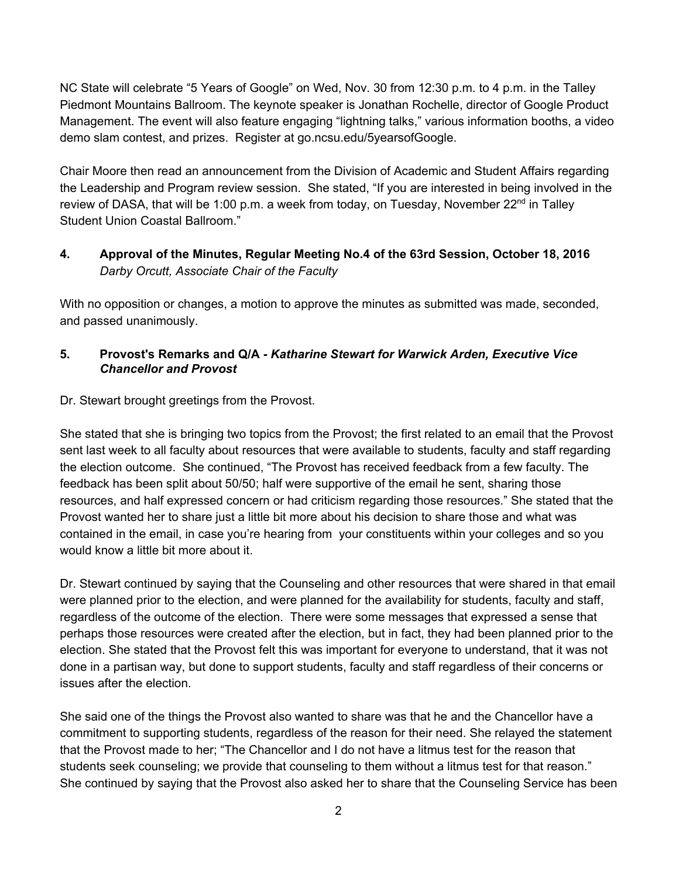NC State will celebrate "5 Years of Google" on Wed, Nov. 30 from 12:30 p.m. to 4 p.m. in the Talley Piedmont Mountains Ballroom. The keynote speaker is Jonathan Rochelle, director of Google Product Management. The event will also feature engaging "lightning talks," various information booths, a video demo slam contest, and prizes. Register at go.ncsu.edu/5yearsofGoogle.

Chair Moore then read an announcement from the Division of Academic and Student Affairs regarding the Leadership and Program review session. She stated, "If you are interested in being involved in the review of DASA, that will be 1:00 p.m. a week from today, on Tuesday, November 22<sup>nd</sup> in Talley Student Union Coastal Ballroom."

# **4. Approval of the Minutes, Regular Meeting No.4 of the 63rd Session, October 18, 2016** *Darby Orcutt, Associate Chair of the Faculty*

With no opposition or changes, a motion to approve the minutes as submitted was made, seconded, and passed unanimously.

# **5. Provost's Remarks and Q/A -** *Katharine Stewart for Warwick Arden, Executive Vice Chancellor and Provost*

#### Dr. Stewart brought greetings from the Provost.

She stated that she is bringing two topics from the Provost; the first related to an email that the Provost sent last week to all faculty about resources that were available to students, faculty and staff regarding the election outcome. She continued, "The Provost has received feedback from a few faculty. The feedback has been split about 50/50; half were supportive of the email he sent, sharing those resources, and half expressed concern or had criticism regarding those resources." She stated that the Provost wanted her to share just a little bit more about his decision to share those and what was contained in the email, in case you're hearing from your constituents within your colleges and so you would know a little bit more about it.

Dr. Stewart continued by saying that the Counseling and other resources that were shared in that email were planned prior to the election, and were planned for the availability for students, faculty and staff, regardless of the outcome of the election. There were some messages that expressed a sense that perhaps those resources were created after the election, but in fact, they had been planned prior to the election. She stated that the Provost felt this was important for everyone to understand, that it was not done in a partisan way, but done to support students, faculty and staff regardless of their concerns or issues after the election.

She said one of the things the Provost also wanted to share was that he and the Chancellor have a commitment to supporting students, regardless of the reason for their need. She relayed the statement that the Provost made to her; "The Chancellor and I do not have a litmus test for the reason that students seek counseling; we provide that counseling to them without a litmus test for that reason." She continued by saying that the Provost also asked her to share that the Counseling Service has been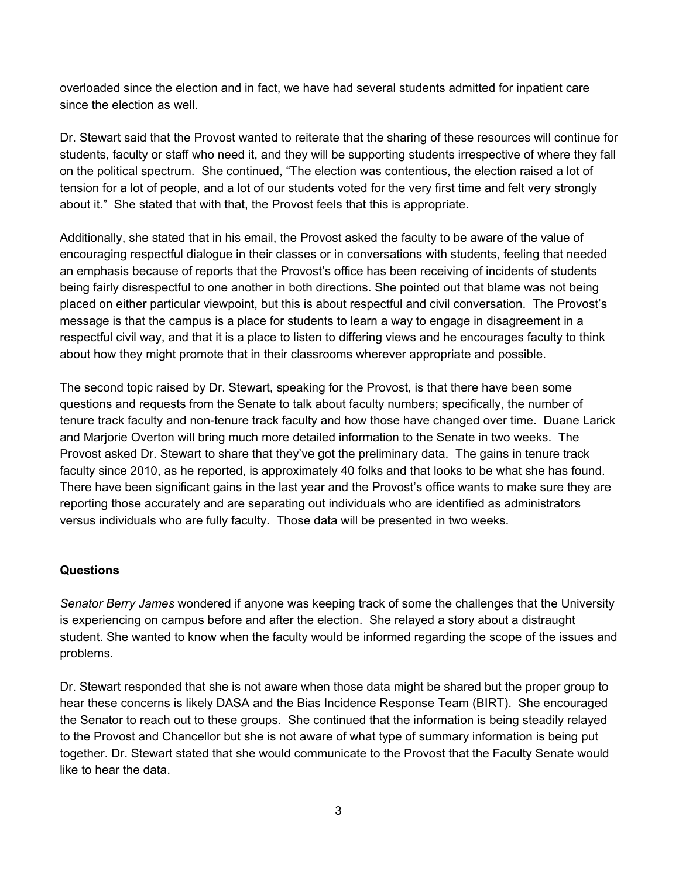overloaded since the election and in fact, we have had several students admitted for inpatient care since the election as well.

Dr. Stewart said that the Provost wanted to reiterate that the sharing of these resources will continue for students, faculty or staff who need it, and they will be supporting students irrespective of where they fall on the political spectrum. She continued, "The election was contentious, the election raised a lot of tension for a lot of people, and a lot of our students voted for the very first time and felt very strongly about it." She stated that with that, the Provost feels that this is appropriate.

Additionally, she stated that in his email, the Provost asked the faculty to be aware of the value of encouraging respectful dialogue in their classes or in conversations with students, feeling that needed an emphasis because of reports that the Provost's office has been receiving of incidents of students being fairly disrespectful to one another in both directions. She pointed out that blame was not being placed on either particular viewpoint, but this is about respectful and civil conversation. The Provost's message is that the campus is a place for students to learn a way to engage in disagreement in a respectful civil way, and that it is a place to listen to differing views and he encourages faculty to think about how they might promote that in their classrooms wherever appropriate and possible.

The second topic raised by Dr. Stewart, speaking for the Provost, is that there have been some questions and requests from the Senate to talk about faculty numbers; specifically, the number of tenure track faculty and non-tenure track faculty and how those have changed over time. Duane Larick and Marjorie Overton will bring much more detailed information to the Senate in two weeks. The Provost asked Dr. Stewart to share that they've got the preliminary data. The gains in tenure track faculty since 2010, as he reported, is approximately 40 folks and that looks to be what she has found. There have been significant gains in the last year and the Provost's office wants to make sure they are reporting those accurately and are separating out individuals who are identified as administrators versus individuals who are fully faculty. Those data will be presented in two weeks.

# **Questions**

*Senator Berry James* wondered if anyone was keeping track of some the challenges that the University is experiencing on campus before and after the election. She relayed a story about a distraught student. She wanted to know when the faculty would be informed regarding the scope of the issues and problems.

Dr. Stewart responded that she is not aware when those data might be shared but the proper group to hear these concerns is likely DASA and the Bias Incidence Response Team (BIRT). She encouraged the Senator to reach out to these groups. She continued that the information is being steadily relayed to the Provost and Chancellor but she is not aware of what type of summary information is being put together. Dr. Stewart stated that she would communicate to the Provost that the Faculty Senate would like to hear the data.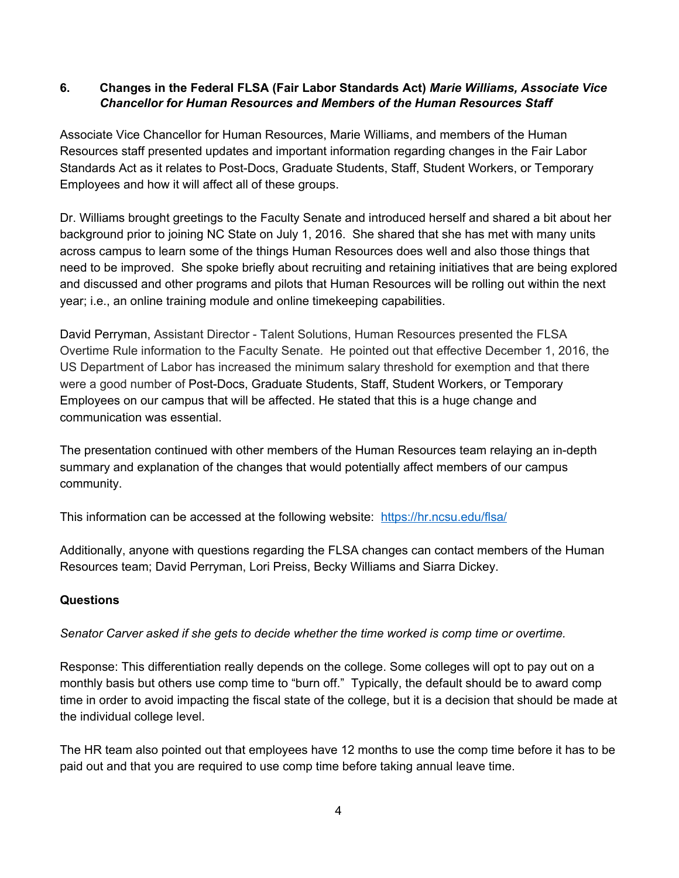#### **6. Changes in the Federal FLSA (Fair Labor Standards Act)** *Marie Williams, Associate Vice Chancellor for Human Resources and Members of the Human Resources Staff*

Associate Vice Chancellor for Human Resources, Marie Williams, and members of the Human Resources staff presented updates and important information regarding changes in the Fair Labor Standards Act as it relates to Post-Docs, Graduate Students, Staff, Student Workers, or Temporary Employees and how it will affect all of these groups.

Dr. Williams brought greetings to the Faculty Senate and introduced herself and shared a bit about her background prior to joining NC State on July 1, 2016. She shared that she has met with many units across campus to learn some of the things Human Resources does well and also those things that need to be improved. She spoke briefly about recruiting and retaining initiatives that are being explored and discussed and other programs and pilots that Human Resources will be rolling out within the next year; i.e., an online training module and online timekeeping capabilities.

David Perryman, Assistant Director - Talent Solutions, Human Resources presented the FLSA Overtime Rule information to the Faculty Senate. He pointed out that effective December 1, 2016, the US Department of Labor has increased the minimum salary threshold for exemption and that there were a good number of Post-Docs, Graduate Students, Staff, Student Workers, or Temporary Employees on our campus that will be affected. He stated that this is a huge change and communication was essential.

The presentation continued with other members of the Human Resources team relaying an in-depth summary and explanation of the changes that would potentially affect members of our campus community.

This information can be accessed at the following website: <https://hr.ncsu.edu/flsa/>

Additionally, anyone with questions regarding the FLSA changes can contact members of the Human Resources team; David Perryman, Lori Preiss, Becky Williams and Siarra Dickey.

# **Questions**

*Senator Carver asked if she gets to decide whether the time worked is comp time or overtime.*

Response: This differentiation really depends on the college. Some colleges will opt to pay out on a monthly basis but others use comp time to "burn off." Typically, the default should be to award comp time in order to avoid impacting the fiscal state of the college, but it is a decision that should be made at the individual college level.

The HR team also pointed out that employees have 12 months to use the comp time before it has to be paid out and that you are required to use comp time before taking annual leave time.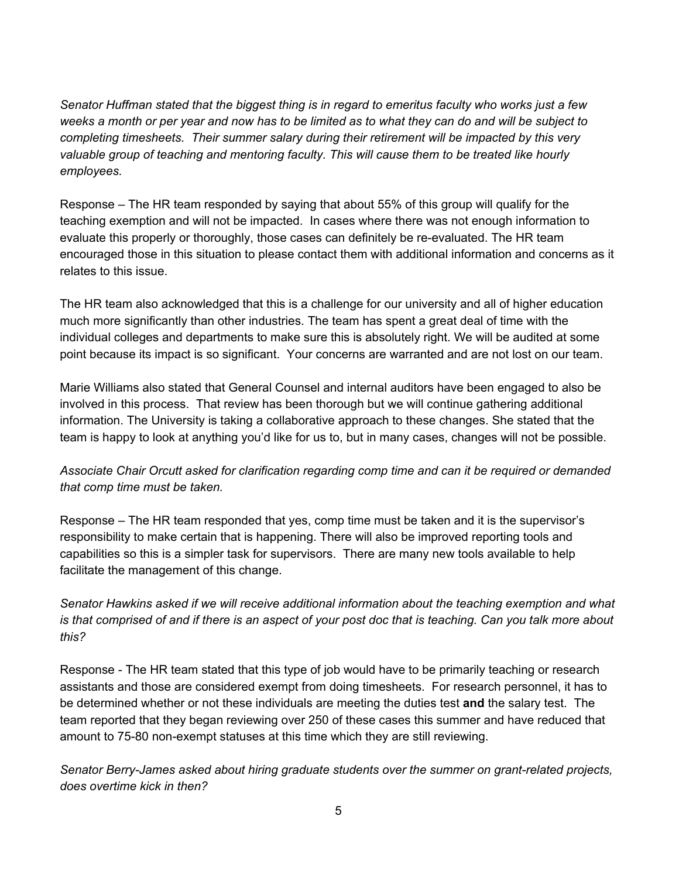*Senator Huffman stated that the biggest thing is in regard to emeritus faculty who works just a few weeks a month or per year and now has to be limited as to what they can do and will be subject to completing timesheets. Their summer salary during their retirement will be impacted by this very valuable group of teaching and mentoring faculty. This will cause them to be treated like hourly employees.*

Response – The HR team responded by saying that about 55% of this group will qualify for the teaching exemption and will not be impacted. In cases where there was not enough information to evaluate this properly or thoroughly, those cases can definitely be re-evaluated. The HR team encouraged those in this situation to please contact them with additional information and concerns as it relates to this issue.

The HR team also acknowledged that this is a challenge for our university and all of higher education much more significantly than other industries. The team has spent a great deal of time with the individual colleges and departments to make sure this is absolutely right. We will be audited at some point because its impact is so significant. Your concerns are warranted and are not lost on our team.

Marie Williams also stated that General Counsel and internal auditors have been engaged to also be involved in this process. That review has been thorough but we will continue gathering additional information. The University is taking a collaborative approach to these changes. She stated that the team is happy to look at anything you'd like for us to, but in many cases, changes will not be possible.

# *Associate Chair Orcutt asked for clarification regarding comp time and can it be required or demanded that comp time must be taken.*

Response – The HR team responded that yes, comp time must be taken and it is the supervisor's responsibility to make certain that is happening. There will also be improved reporting tools and capabilities so this is a simpler task for supervisors. There are many new tools available to help facilitate the management of this change.

*Senator Hawkins asked if we will receive additional information about the teaching exemption and what is that comprised of and if there is an aspect of your post doc that is teaching. Can you talk more about this?*

Response - The HR team stated that this type of job would have to be primarily teaching or research assistants and those are considered exempt from doing timesheets. For research personnel, it has to be determined whether or not these individuals are meeting the duties test **and** the salary test. The team reported that they began reviewing over 250 of these cases this summer and have reduced that amount to 75-80 non-exempt statuses at this time which they are still reviewing.

*Senator Berry-James asked about hiring graduate students over the summer on grant-related projects, does overtime kick in then?*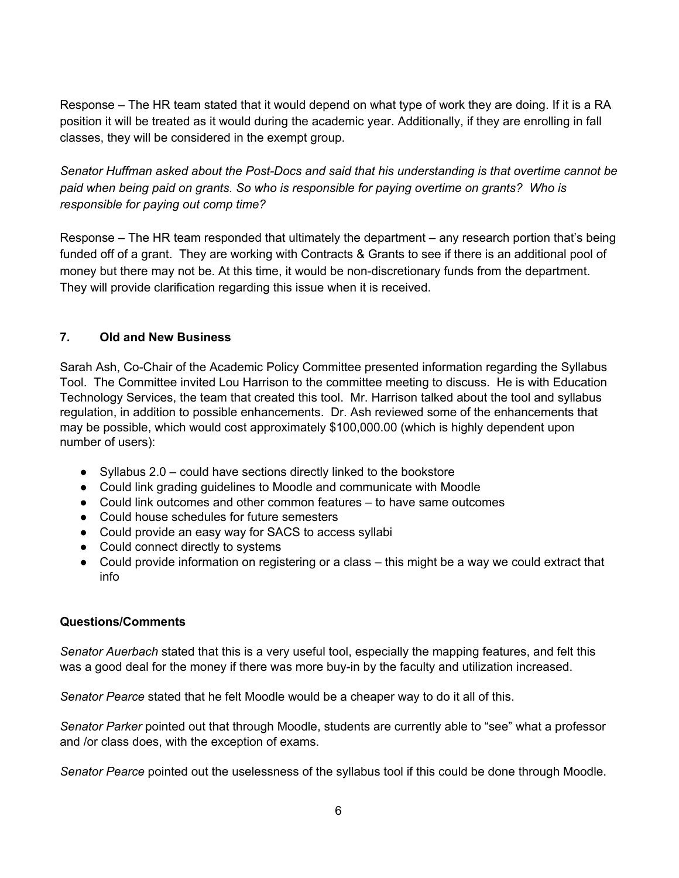Response – The HR team stated that it would depend on what type of work they are doing. If it is a RA position it will be treated as it would during the academic year. Additionally, if they are enrolling in fall classes, they will be considered in the exempt group.

*Senator Huffman asked about the Post-Docs and said that his understanding is that overtime cannot be paid when being paid on grants. So who is responsible for paying overtime on grants? Who is responsible for paying out comp time?*

Response – The HR team responded that ultimately the department – any research portion that's being funded off of a grant. They are working with Contracts & Grants to see if there is an additional pool of money but there may not be. At this time, it would be non-discretionary funds from the department. They will provide clarification regarding this issue when it is received.

# **7. Old and New Business**

Sarah Ash, Co-Chair of the Academic Policy Committee presented information regarding the Syllabus Tool. The Committee invited Lou Harrison to the committee meeting to discuss. He is with Education Technology Services, the team that created this tool. Mr. Harrison talked about the tool and syllabus regulation, in addition to possible enhancements. Dr. Ash reviewed some of the enhancements that may be possible, which would cost approximately \$100,000.00 (which is highly dependent upon number of users):

- $\bullet$  Syllabus 2.0 could have sections directly linked to the bookstore
- Could link grading guidelines to Moodle and communicate with Moodle
- Could link outcomes and other common features to have same outcomes
- Could house schedules for future semesters
- Could provide an easy way for SACS to access syllabi
- Could connect directly to systems
- Could provide information on registering or a class this might be a way we could extract that info

# **Questions/Comments**

*Senator Auerbach* stated that this is a very useful tool, especially the mapping features, and felt this was a good deal for the money if there was more buy-in by the faculty and utilization increased.

*Senator Pearce* stated that he felt Moodle would be a cheaper way to do it all of this.

*Senator Parker* pointed out that through Moodle, students are currently able to "see" what a professor and /or class does, with the exception of exams.

*Senator Pearce* pointed out the uselessness of the syllabus tool if this could be done through Moodle.